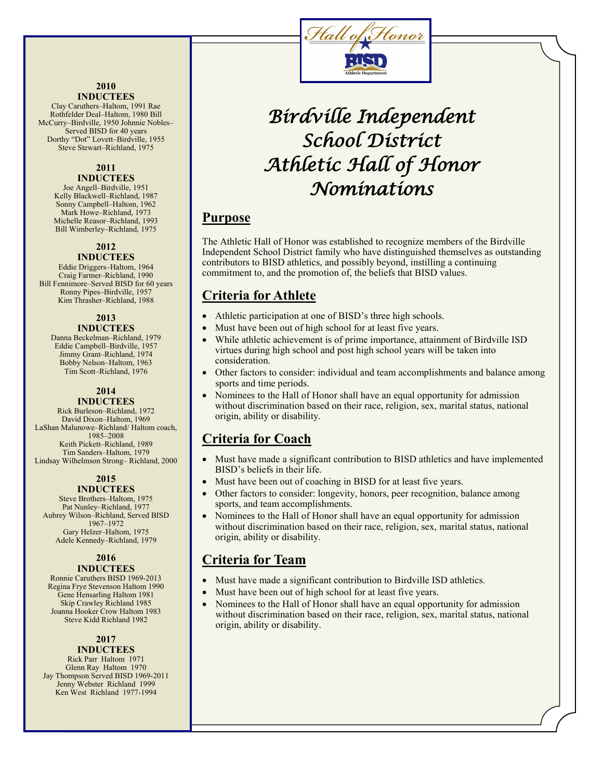#### **2010 INDUCTEES**

Clay Caruthers–Haltom, 1991 Rae Rothfelder Deal–Haltom, 1980 Bill McCurry–Birdville, 1950 Johnnie Nobles– Served BISD for 40 years Dorthy "Dot" Lovett–Birdville, 1955 Steve Stewart–Richland, 1975

#### **2011 INDUCTEES**

Joe Angell–Birdville, 1951 Kelly Blackwell–Richland, 1987 Sonny Campbell–Haltom, 1962 Mark Howe–Richland, 1973 Michelle Reasor–Richland, 1993 Bill Wimberley–Richland, 1975

### **2012**

**INDUCTEES** Eddie Driggers–Haltom, 1964 Craig Farmer–Richland, 1990 Bill Fennimore–Served BISD for 60 years Ronny Pipes–Birdville, 1957 Kim Thrasher–Richland, 1988

## **2013**

#### **INDUCTEES**

Danna Beckelman–Richland, 1979 Eddie Campbell–Birdville, 1957 Jimmy Grant–Richland, 1974 Bobby Nelson–Haltom, 1963 Tim Scott–Richland, 1976

## **2014**

#### **INDUCTEES** Rick Burleson–Richland, 1972 David Dixon–Haltom, 1969

LaShan Malunowe–Richland/ Haltom coach, 1985–2008 Keith Pickett–Richland, 1989 Tim Sanders–Haltom, 1979 Lindsay Wilhelmson Strong– Richland, 2000

## **2015**

**INDUCTEES**  Steve Brothers–Haltom, 1975

Pat Nunley–Richland, 1977 Aubrey Wilson–Richland, Served BISD 1967–1972 Gary Helzer–Haltom, 1975 Adele Kennedy–Richland, 1979

#### **2016 INDUCTEES**

Ronnie Caruthers BISD 1969-2013 Regina Frye Stevenson Haltom 1990 Gene Hensarling Haltom 1981 Skip Crawley Richland 1985 Joanna Hooker Crow Haltom 1983 Steve Kidd Richland 1982

#### **2017 INDUCTEES**

Rick Parr Haltom 1971 Glenn Ray Haltom 1970 Jay Thompson Served BISD 1969-2011 Jenny Webster Richland 1999 Ken West Richland 1977-1994



# *Birdville Independent School District Athletic Hall of Honor Nominations*

## **Purpose**

The Athletic Hall of Honor was established to recognize members of the Birdville Independent School District family who have distinguished themselves as outstanding contributors to BISD athletics, and possibly beyond, instilling a continuing commitment to, and the promotion of, the beliefs that BISD values.

## **Criteria for Athlete**

- Athletic participation at one of BISD's three high schools.
- Must have been out of high school for at least five years.
- While athletic achievement is of prime importance, attainment of Birdville ISD virtues during high school and post high school years will be taken into consideration.
- Other factors to consider: individual and team accomplishments and balance among sports and time periods.
- Nominees to the Hall of Honor shall have an equal opportunity for admission without discrimination based on their race, religion, sex, marital status, national origin, ability or disability.

## **Criteria for Coach**

- Must have made a significant contribution to BISD athletics and have implemented BISD's beliefs in their life.
- Must have been out of coaching in BISD for at least five years.
- Other factors to consider: longevity, honors, peer recognition, balance among sports, and team accomplishments.
- Nominees to the Hall of Honor shall have an equal opportunity for admission without discrimination based on their race, religion, sex, marital status, national origin, ability or disability.

## **Criteria for Team**

- Must have made a significant contribution to Birdville ISD athletics.
- Must have been out of high school for at least five years.
- Nominees to the Hall of Honor shall have an equal opportunity for admission without discrimination based on their race, religion, sex, marital status, national origin, ability or disability.